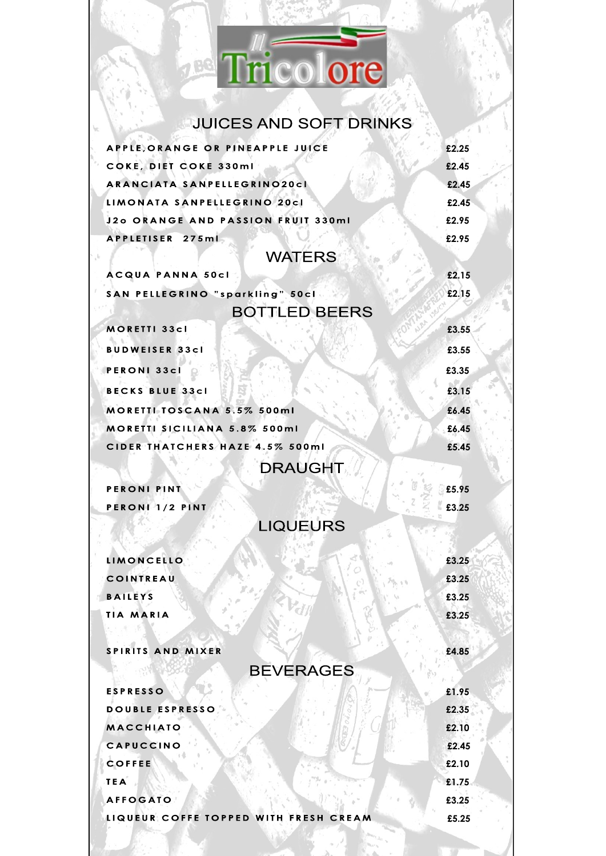

# JUICES AND SOFT DRINKS

| APPLE, ORANGE OR PINEAPPLE JUICE      | £2.25 |
|---------------------------------------|-------|
| COKE, DIET COKE 330ml                 | £2.45 |
| ARANCIATA SANPELLEGRINO20cl           | £2.45 |
| LIMONATA SANPELLEGRINO 20cl           | £2.45 |
| J2o ORANGE AND PASSION FRUIT 330ml    | £2.95 |
| APPLETISER 275ml                      | £2.95 |
| <b>WATERS</b>                         |       |
| <b>ACQUA PANNA 50cl</b>               | £2.15 |
| SAN PELLEGRINO "sparkling" 50cl       | £2.15 |
| <b>BOTTLED BEERS</b>                  |       |
| <b>MORETTI 33cl</b>                   | £3.55 |
| <b>BUDWEISER 33cl</b>                 | £3.55 |
| <b>PERONI 33cl</b>                    | £3.35 |
| <b>BECKS BLUE 33cl</b>                | £3.15 |
| MORETTI TOSCANA 5.5% 500ml            | £6.45 |
| MORETTI SICILIANA 5.8% 500ml          | £6.45 |
| CIDER THATCHERS HAZE 4.5% 500ml       | £5.45 |
| <b>DRAUGHT</b>                        |       |
|                                       |       |
| <b>PERONI PINT</b>                    | £5.95 |
| PERONI 1/2 PINT                       | £3.25 |
| <b>LIQUEURS</b>                       |       |
| <b>LIMONCELLO</b>                     | £3.25 |
| <b>COINTREAU</b>                      | £3.25 |
| <b>BAILEYS</b>                        | £3.25 |
| <b>TIA MARIA</b>                      | £3.25 |
|                                       |       |
| SPIRITS AND MIXER                     | £4.85 |
| <b>BEVERAGES</b>                      |       |
| <b>ESPRESSO</b>                       | £1.95 |
| DOUBLE ESPRESSO                       | £2.35 |
| <b>MACCHIATO</b>                      | £2.10 |
| CAPUCCINO                             | £2.45 |
| <b>COFFEE</b>                         | £2.10 |
| <b>TEA</b>                            | £1.75 |
| <b>AFFOGATO</b>                       | £3.25 |
| LIQUEUR COFFE TOPPED WITH FRESH CREAM | £5.25 |
|                                       |       |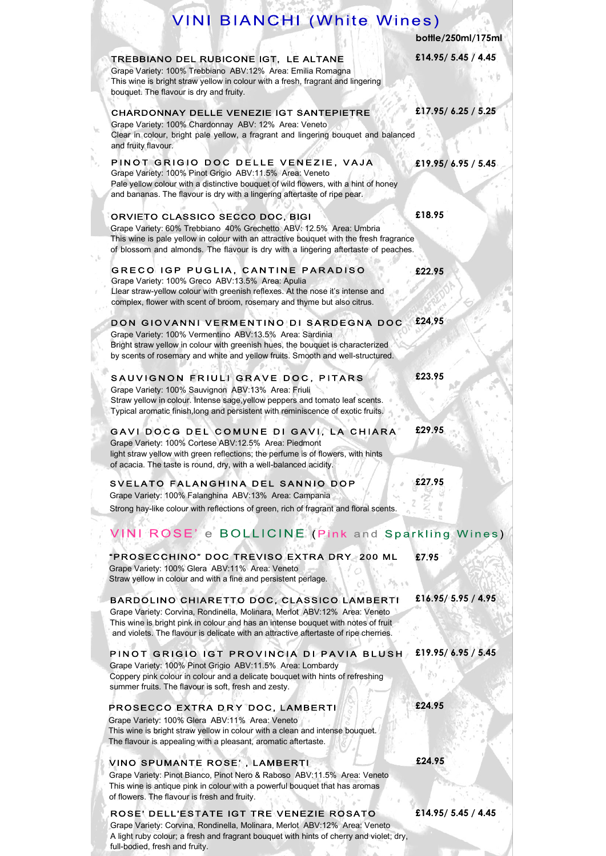## **VINI BIANCHI (White Wines)**

**bottle/250ml/175ml**

**£14.95/ 5.45 / 4.45**

**£19.95/ 6.95 / 5.45**

**£17.95/ 6.25 / 5.25**

**£22.95**

**£18.95**

**£23.95**

**£29.95**

**£27.95**

TREBBIANO DEL RUBICONE IGT, LE ALTANE Grape Variety: 100% Trebbiano ABV:12% Area: Emilia Romagna This wine is bright straw yellow in colour with a fresh, fragrant and lingering bouquet. The flavour is dry and fruity.

#### CHARDONNAY DELLE VENEZIE IGT SANTEPIETRE

Grape Variety: 100% Chardonnay ABV: 12% Area: Veneto Clear in colour, bright pale yellow, a fragrant and lingering bouquet and balanced and fruity flavour.

#### PINOT GRIGIO DOC DELLE VENEZIE, VAJA Grape Variety: 100% Pinot Grigio ABV:11.5% Area: Veneto Pale yellow colour with a distinctive bouquet of wild flowers, with a hint of honey and bananas. The flavour is dry with a lingering aftertaste of ripe pear.

#### ORVIETO CLASSICO SECCO DOC, BIGI

Grape Variety: 60% Trebbiano 40% Grechetto ABV: 12.5% Area: Umbria This wine is pale yellow in colour with an attractive bouquet with the fresh fragrance of blossom and almonds. The flavour is dry with a lingering aftertaste of peaches.

#### GRECO IGP PUGLIA, CANTINE PARADISO Grape Variety: 100% Greco ABV:13.5% Area: Apulia Llear straw-yellow colour with greenish reflexes. At the nose it's intense and complex, flower with scent of broom, rosemary and thyme but also citrus.

#### **£24,95** DON GIOVANNI VERMENTINO DI SARDEGNA DOC

Grape Variety: 100% Vermentino ABV:13.5% Area: Sardinia Bright straw yellow in colour with greenish hues, the bouquet is characterized by scents of rosemary and white and yellow fruits. Smooth and well-structured.

#### SAUVIGNON FRIULI GRAVE DOC, PITARS Grape Variety: 100% Sauvignon ABV:13% Area: Friuli Straw yellow in colour. Intense sage,yellow peppers and tomato leaf scents. Typical aromatic finish,long and persistent with reminiscence of exotic fruits.

#### GAVI DOCG DEL COMUNE DI GAVI, LA CHIARA Grape Variety: 100% Cortese ABV:12.5% Area: Piedmont light straw yellow with green reflections; the perfume is of flowers, with hints of acacia. The taste is round, dry, with a well-balanced acidity.

#### SVELATO FALANGHINA DEL SANNIO DOP Grape Variety: 100% Falanghina ABV:13% Area: Campania Strong hay-like colour with reflections of green, rich of fragrant and floral scents.

# VINI ROSE's BOLLICINE (Pink and Sparkling Wines)

"PROSECCHINO" DOC TREVISO EXTRA DRY 200 ML **£7.95** Grape Variety: 100% Glera ABV:11% Area: Veneto Straw yellow in colour and with a fine and persistent perlage.

#### BARDOLINO CHIARETTO DOC, CLASSICO LAMBERTI

Grape Variety: Corvina, Rondinella, Molinara, Merlot ABV:12% Area: Veneto This wine is bright pink in colour and has an intense bouquet with notes of fruit and violets. The flavour is delicate with an attractive aftertaste of ripe cherries.

#### **£19.95/ 6.95 / 5.45** PINOT GRIGIO IGT PROVINCIA DI PAVIA BLUSH

Grape Variety: 100% Pinot Grigio ABV:11.5% Area: Lombardy Coppery pink colour in colour and a delicate bouquet with hints of refreshing summer fruits. The flavour is soft, fresh and zesty.

## PROSECCO EXTRA DRY DOC, LAMBERTI

Grape Variety: 100% Glera ABV:11% Area: Veneto This wine is bright straw yellow in colour with a clean and intense bouquet. The flavour is appealing with a pleasant, aromatic aftertaste.

### VINO SPUMANTE ROSE', LAMBERTI

Grape Variety: Pinot Bianco, Pinot Nero & Raboso ABV:11.5% Area: Veneto This wine is antique pink in colour with a powerful bouquet that has aromas of flowers. The flavour is fresh and fruity.

#### ROSE' DELL'ESTATE IGT TRE VENEZIE ROSATO Grape Variety: Corvina, Rondinella, Molinara, Merlot ABV:12% Area: Veneto

A light ruby colour; a fresh and fragrant bouquet with hints of cherry and violet; dry, full-bodied, fresh and fruity.

**£24.95**

**£24.95**

**£14.95/ 5.45 / 4.45**

**£16.95/ 5.95 / 4.95**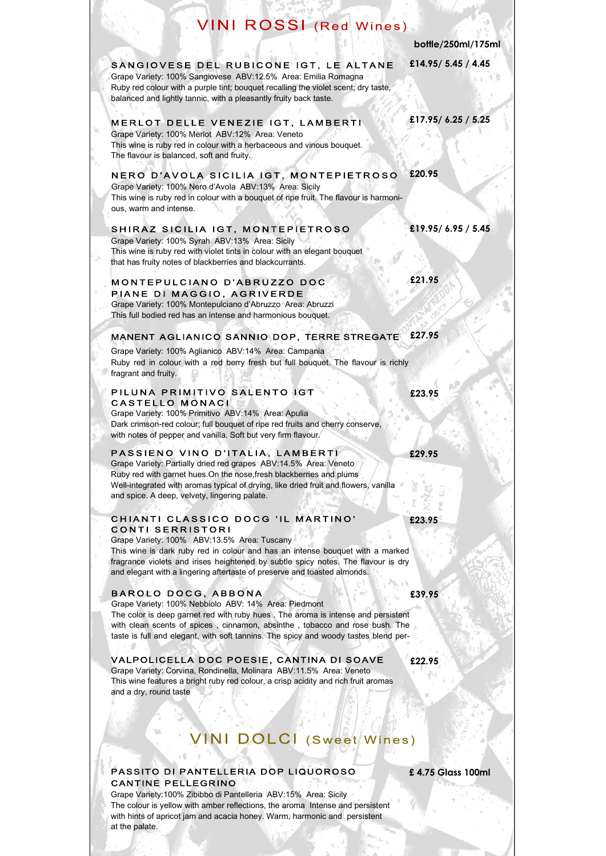# **VINI ROSSI** (Red Wines)

**SANS** 

|                                                                                                                                                                                                                                                                                                                                                         | bottle/250ml/175ml |
|---------------------------------------------------------------------------------------------------------------------------------------------------------------------------------------------------------------------------------------------------------------------------------------------------------------------------------------------------------|--------------------|
| SANGIOVESE DEL RUBICONE IGT, LE ALTANE<br>Grape Variety: 100% Sangiovese ABV:12.5% Area: Emilia Romagna<br>Ruby red colour with a purple tint; bouquet recalling the violet scent; dry taste,<br>balanced and lightly tannic, with a pleasantly fruity back taste.                                                                                      | £14.95/5.45 / 4.45 |
| MERLOT DELLE VENEZIE IGT, LAMBERTI<br>Grape Variety: 100% Merlot ABV:12% Area: Veneto<br>This wine is ruby red in colour with a herbaceous and vinous bouquet.<br>The flavour is balanced, soft and fruity.                                                                                                                                             | £17.95/6.25 / 5.25 |
| NERO D'AVOLA SICILIA IGT, MONTEPIETROSO<br>Grape Variety: 100% Nero d'Avola ABV:13% Area: Sicily<br>This wine is ruby red in colour with a bouquet of ripe fruit. The flavour is harmoni-<br>ous, warm and intense.                                                                                                                                     | £20.95             |
| SHIRAZ SICILIA IGT, MONTEPIETROSO<br>Grape Variety: 100% Syrah ABV:13% Area: Sicily<br>This wine is ruby red with violet tints in colour with an elegant bouquet<br>that has fruity notes of blackberries and blackcurrants.                                                                                                                            | £19.95/6.95/5.45   |
| MONTEPULCIANO D'ABRUZZO DOC<br>PIANE DI MAGGIO, AGRIVERDE<br>Grape Variety: 100% Montepulciano d'Abruzzo Area: Abruzzi<br>This full bodied red has an intense and harmonious bouquet.                                                                                                                                                                   | £21.95             |
| MANENT AGLIANICO SANNIO DOP, TERRE STREGATE<br>Grape Variety: 100% Aglianico ABV:14% Area: Campania<br>Ruby red in colour with a red berry fresh but full bouquet. The flavour is richly<br>fragrant and fruity.                                                                                                                                        | £27.95             |
| PILUNA PRIMITIVO SALENTO IGT<br>CASTELLO MONACI<br>Grape Variety: 100% Primitivo ABV:14% Area: Apulia<br>Dark crimson-red colour; full bouquet of ripe red fruits and cherry conserve,<br>with notes of pepper and vanilla. Soft but very firm flavour.                                                                                                 | £23.95             |
| PASSIENO VINO D'ITALIA, LAMBERTI<br>Grape Variety: Partially dried red grapes ABV:14.5% Area: Veneto<br>Ruby red with garnet hues. On the nose, fresh blackberries and plums<br>Well-integrated with aromas typical of drying, like dried fruit and flowers, vanilla<br>and spice. A deep, velvety, lingering palate.                                   | £29.95             |
| CHIANTI CLASSICO DOCG 'IL MARTINO'<br>CONTI SERRISTORI<br>Grape Variety: 100% ABV:13.5% Area: Tuscany<br>This wine is dark ruby red in colour and has an intense bouquet with a marked<br>fragrance violets and irises heightened by subtle spicy notes. The flavour is dry<br>and elegant with a lingering aftertaste of preserve and toasted almonds. | £23.95             |
| BAROLO DOCG, ABBONA<br>Grape Variety: 100% Nebbiolo ABV: 14% Area: Piedmont<br>The color is deep garnet red with ruby hues . The aroma is intense and persistent<br>with clean scents of spices, cinnamon, absinthe, tobacco and rose bush. The<br>taste is full and elegant, with soft tannins. The spicy and woody tastes blend per-                  | £39.95             |
| VALPOLICELLA DOC POESIE, CANTINA DI SOAVE<br>Grape Variety: Corvina, Rondinella, Molinara ABV:11.5% Area: Veneto<br>This wine features a bright ruby red colour, a crisp acidity and rich fruit aromas<br>and a dry, round taste                                                                                                                        | £22.95             |
| <b>VINI DOLCI (Sweet Wines)</b>                                                                                                                                                                                                                                                                                                                         |                    |
| PASSITO DI PANTELLERIA DOP LIQUOROSO                                                                                                                                                                                                                                                                                                                    | £4.75 Glass 100ml  |

Grape Variety:100% Zibibbo di Pantelleria ABV:15% Area: Sicily The colour is yellow with amber reflections, the aroma Intense and persistent with hints of apricot jam and acacia honey. Warm, harmonic and persistent at the palate.

y, , .

CANTINE PELLEGRINO